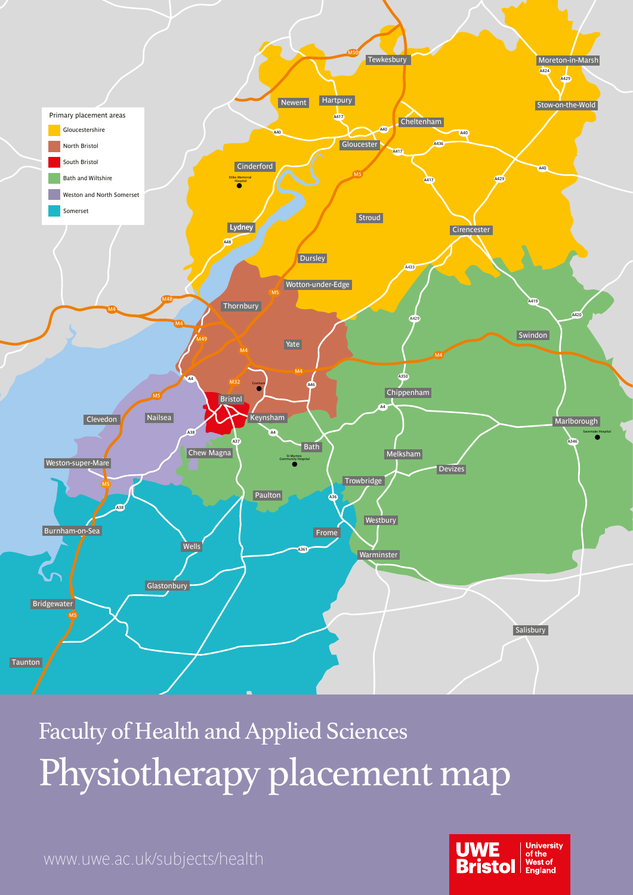

## Faculty of Health and Applied Sciences Physiotherapy placement map



www.uwe.ac.uk/subjects/health